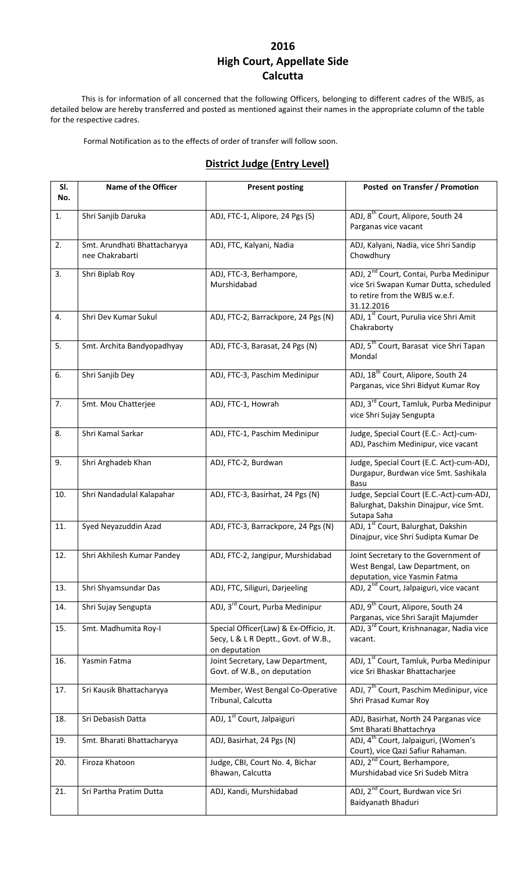#### **2016 High Court, Appellate Side Calcutta**

This is for information of all concerned that the following Officers, belonging to different cadres of the WBJS, as detailed below are hereby transferred and posted as mentioned against their names in the appropriate column of the table for the respective cadres.

Formal Notification as to the effects of order of transfer will follow soon.

#### **District Judge (Entry Level)**

| SI.<br>No. | <b>Name of the Officer</b>                      | <b>Present posting</b>                                                                          | Posted on Transfer / Promotion                                                                                                                |
|------------|-------------------------------------------------|-------------------------------------------------------------------------------------------------|-----------------------------------------------------------------------------------------------------------------------------------------------|
| 1.         | Shri Sanjib Daruka                              | ADJ, FTC-1, Alipore, 24 Pgs (S)                                                                 | ADJ, 8 <sup>th</sup> Court, Alipore, South 24<br>Parganas vice vacant                                                                         |
| 2.         | Smt. Arundhati Bhattacharyya<br>nee Chakrabarti | ADJ, FTC, Kalyani, Nadia                                                                        | ADJ, Kalyani, Nadia, vice Shri Sandip<br>Chowdhury                                                                                            |
| 3.         | Shri Biplab Roy                                 | ADJ, FTC-3, Berhampore,<br>Murshidabad                                                          | ADJ, 2 <sup>nd</sup> Court, Contai, Purba Medinipur<br>vice Sri Swapan Kumar Dutta, scheduled<br>to retire from the WBJS w.e.f.<br>31.12.2016 |
| 4.         | Shri Dev Kumar Sukul                            | ADJ, FTC-2, Barrackpore, 24 Pgs (N)                                                             | ADJ, 1 <sup>st</sup> Court, Purulia vice Shri Amit<br>Chakraborty                                                                             |
| 5.         | Smt. Archita Bandyopadhyay                      | ADJ, FTC-3, Barasat, 24 Pgs (N)                                                                 | ADJ, 5 <sup>th</sup> Court, Barasat vice Shri Tapan<br>Mondal                                                                                 |
| 6.         | Shri Sanjib Dey                                 | ADJ, FTC-3, Paschim Medinipur                                                                   | ADJ, 18 <sup>th</sup> Court, Alipore, South 24<br>Parganas, vice Shri Bidyut Kumar Roy                                                        |
| 7.         | Smt. Mou Chatterjee                             | ADJ, FTC-1, Howrah                                                                              | ADJ, 3 <sup>rd</sup> Court, Tamluk, Purba Medinipur<br>vice Shri Sujay Sengupta                                                               |
| 8.         | Shri Kamal Sarkar                               | ADJ, FTC-1, Paschim Medinipur                                                                   | Judge, Special Court (E.C.- Act)-cum-<br>ADJ, Paschim Medinipur, vice vacant                                                                  |
| 9.         | Shri Arghadeb Khan                              | ADJ, FTC-2, Burdwan                                                                             | Judge, Special Court (E.C. Act)-cum-ADJ,<br>Durgapur, Burdwan vice Smt. Sashikala<br>Basu                                                     |
| 10.        | Shri Nandadulal Kalapahar                       | ADJ, FTC-3, Basirhat, 24 Pgs (N)                                                                | Judge, Sepcial Court (E.C.-Act)-cum-ADJ,<br>Balurghat, Dakshin Dinajpur, vice Smt.<br>Sutapa Saha                                             |
| 11.        | Syed Neyazuddin Azad                            | ADJ, FTC-3, Barrackpore, 24 Pgs (N)                                                             | ADJ, 1 <sup>st</sup> Court, Balurghat, Dakshin<br>Dinajpur, vice Shri Sudipta Kumar De                                                        |
| 12.        | Shri Akhilesh Kumar Pandey                      | ADJ, FTC-2, Jangipur, Murshidabad                                                               | Joint Secretary to the Government of<br>West Bengal, Law Department, on<br>deputation, vice Yasmin Fatma                                      |
| 13.        | Shri Shyamsundar Das                            | ADJ, FTC, Siliguri, Darjeeling                                                                  | ADJ, 2 <sup>nd</sup> Court, Jalpaiguri, vice vacant                                                                                           |
| 14.        | Shri Sujay Sengupta                             | ADJ, 3 <sup>rd</sup> Court, Purba Medinipur                                                     | ADJ, 9 <sup>th</sup> Court, Alipore, South 24<br>Parganas, vice Shri Sarajit Majumder                                                         |
| 15.        | Smt. Madhumita Roy-I                            | Special Officer(Law) & Ex-Officio, Jt.<br>Secy, L & L R Deptt., Govt. of W.B.,<br>on deputation | ADJ, 3 <sup>rd</sup> Court, Krishnanagar, Nadia vice<br>vacant.                                                                               |
| 16.        | Yasmin Fatma                                    | Joint Secretary, Law Department,<br>Govt. of W.B., on deputation                                | ADJ, 1 <sup>st</sup> Court, Tamluk, Purba Medinipur<br>vice Sri Bhaskar Bhattacharjee                                                         |
| 17.        | Sri Kausik Bhattacharyya                        | Member, West Bengal Co-Operative<br>Tribunal, Calcutta                                          | ADJ, 7 <sup>th</sup> Court, Paschim Medinipur, vice<br>Shri Prasad Kumar Roy                                                                  |
| 18.        | Sri Debasish Datta                              | ADJ, 1 <sup>st</sup> Court, Jalpaiguri                                                          | ADJ, Basirhat, North 24 Parganas vice<br>Smt Bharati Bhattachrya                                                                              |
| 19.        | Smt. Bharati Bhattacharyya                      | ADJ, Basirhat, 24 Pgs (N)                                                                       | ADJ, 4 <sup>th</sup> Court, Jalpaiguri, (Women's<br>Court), vice Qazi Safiur Rahaman.                                                         |
| 20.        | Firoza Khatoon                                  | Judge, CBI, Court No. 4, Bichar<br>Bhawan, Calcutta                                             | ADJ, 2 <sup>nd</sup> Court, Berhampore,<br>Murshidabad vice Sri Sudeb Mitra                                                                   |
| 21.        | Sri Partha Pratim Dutta                         | ADJ, Kandi, Murshidabad                                                                         | ADJ, 2 <sup>nd</sup> Court, Burdwan vice Sri<br>Baidyanath Bhaduri                                                                            |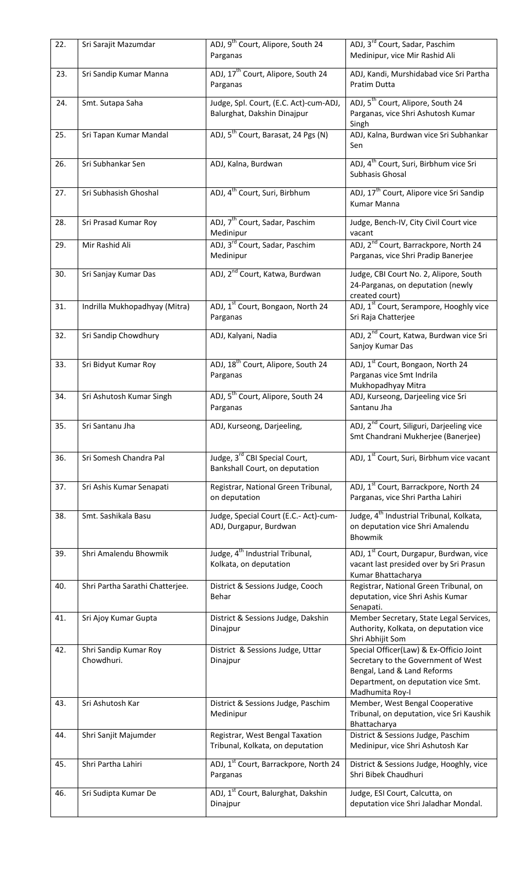| 22. | Sri Sarajit Mazumdar                | ADJ, 9 <sup>th</sup> Court, Alipore, South 24<br>Parganas             | ADJ, 3 <sup>rd</sup> Court, Sadar, Paschim<br>Medinipur, vice Mir Rashid Ali                                                                                            |
|-----|-------------------------------------|-----------------------------------------------------------------------|-------------------------------------------------------------------------------------------------------------------------------------------------------------------------|
| 23. | Sri Sandip Kumar Manna              | ADJ, 17 <sup>th</sup> Court, Alipore, South 24<br>Parganas            | ADJ, Kandi, Murshidabad vice Sri Partha<br>Pratim Dutta                                                                                                                 |
| 24. | Smt. Sutapa Saha                    | Judge, Spl. Court, (E.C. Act)-cum-ADJ,<br>Balurghat, Dakshin Dinajpur | ADJ, 5 <sup>th</sup> Court, Alipore, South 24<br>Parganas, vice Shri Ashutosh Kumar<br>Singh                                                                            |
| 25. | Sri Tapan Kumar Mandal              | ADJ, 5 <sup>th</sup> Court, Barasat, 24 Pgs (N)                       | ADJ, Kalna, Burdwan vice Sri Subhankar<br>Sen                                                                                                                           |
| 26. | Sri Subhankar Sen                   | ADJ, Kalna, Burdwan                                                   | ADJ, 4 <sup>th</sup> Court, Suri, Birbhum vice Sri<br>Subhasis Ghosal                                                                                                   |
| 27. | Sri Subhasish Ghoshal               | ADJ, 4 <sup>th</sup> Court, Suri, Birbhum                             | ADJ, 17 <sup>th</sup> Court, Alipore vice Sri Sandip<br>Kumar Manna                                                                                                     |
| 28. | Sri Prasad Kumar Roy                | ADJ, 7 <sup>th</sup> Court, Sadar, Paschim<br>Medinipur               | Judge, Bench-IV, City Civil Court vice<br>vacant                                                                                                                        |
| 29. | Mir Rashid Ali                      | ADJ, 3 <sup>rd</sup> Court, Sadar, Paschim<br>Medinipur               | ADJ, 2 <sup>nd</sup> Court, Barrackpore, North 24<br>Parganas, vice Shri Pradip Banerjee                                                                                |
| 30. | Sri Sanjay Kumar Das                | ADJ, 2 <sup>nd</sup> Court, Katwa, Burdwan                            | Judge, CBI Court No. 2, Alipore, South<br>24-Parganas, on deputation (newly<br>created court)                                                                           |
| 31. | Indrilla Mukhopadhyay (Mitra)       | ADJ, 1 <sup>st</sup> Court, Bongaon, North 24<br>Parganas             | ADJ, 1 <sup>st</sup> Court, Serampore, Hooghly vice<br>Sri Raja Chatterjee                                                                                              |
| 32. | Sri Sandip Chowdhury                | ADJ, Kalyani, Nadia                                                   | ADJ, 2 <sup>nd</sup> Court, Katwa, Burdwan vice Sri<br>Sanjoy Kumar Das                                                                                                 |
| 33. | Sri Bidyut Kumar Roy                | ADJ, 18 <sup>th</sup> Court, Alipore, South 24<br>Parganas            | ADJ, 1st Court, Bongaon, North 24<br>Parganas vice Smt Indrila<br>Mukhopadhyay Mitra                                                                                    |
| 34. | Sri Ashutosh Kumar Singh            | ADJ, 5 <sup>th</sup> Court, Alipore, South 24<br>Parganas             | ADJ, Kurseong, Darjeeling vice Sri<br>Santanu Jha                                                                                                                       |
| 35. | Sri Santanu Jha                     | ADJ, Kurseong, Darjeeling,                                            | ADJ, 2 <sup>nd</sup> Court, Siliguri, Darjeeling vice<br>Smt Chandrani Mukherjee (Banerjee)                                                                             |
| 36. | Sri Somesh Chandra Pal              | Judge, 3rd CBI Special Court,<br>Bankshall Court, on deputation       | ADJ, 1 <sup>st</sup> Court, Suri, Birbhum vice vacant                                                                                                                   |
| 37. | Sri Ashis Kumar Senapati            | Registrar, National Green Tribunal,<br>on deputation                  | ADJ, 1 <sup>st</sup> Court, Barrackpore, North 24<br>Parganas, vice Shri Partha Lahiri                                                                                  |
| 38. | Smt. Sashikala Basu                 | Judge, Special Court (E.C.- Act)-cum-<br>ADJ, Durgapur, Burdwan       | Judge, 4 <sup>th</sup> Industrial Tribunal, Kolkata,<br>on deputation vice Shri Amalendu<br>Bhowmik                                                                     |
| 39. | Shri Amalendu Bhowmik               | Judge, 4 <sup>th</sup> Industrial Tribunal,<br>Kolkata, on deputation | ADJ, 1 <sup>st</sup> Court, Durgapur, Burdwan, vice<br>vacant last presided over by Sri Prasun<br>Kumar Bhattacharya                                                    |
| 40. | Shri Partha Sarathi Chatterjee.     | District & Sessions Judge, Cooch<br>Behar                             | Registrar, National Green Tribunal, on<br>deputation, vice Shri Ashis Kumar<br>Senapati.                                                                                |
| 41. | Sri Ajoy Kumar Gupta                | District & Sessions Judge, Dakshin<br>Dinajpur                        | Member Secretary, State Legal Services,<br>Authority, Kolkata, on deputation vice<br>Shri Abhijit Som                                                                   |
| 42. | Shri Sandip Kumar Roy<br>Chowdhuri. | District & Sessions Judge, Uttar<br>Dinajpur                          | Special Officer(Law) & Ex-Officio Joint<br>Secretary to the Government of West<br>Bengal, Land & Land Reforms<br>Department, on deputation vice Smt.<br>Madhumita Roy-I |
| 43. | Sri Ashutosh Kar                    | District & Sessions Judge, Paschim<br>Medinipur                       | Member, West Bengal Cooperative<br>Tribunal, on deputation, vice Sri Kaushik<br>Bhattacharya                                                                            |
| 44. | Shri Sanjit Majumder                | Registrar, West Bengal Taxation<br>Tribunal, Kolkata, on deputation   | District & Sessions Judge, Paschim<br>Medinipur, vice Shri Ashutosh Kar                                                                                                 |
| 45. | Shri Partha Lahiri                  | ADJ, 1 <sup>st</sup> Court, Barrackpore, North 24<br>Parganas         | District & Sessions Judge, Hooghly, vice<br>Shri Bibek Chaudhuri                                                                                                        |
| 46. | Sri Sudipta Kumar De                | ADJ, 1 <sup>st</sup> Court, Balurghat, Dakshin<br>Dinajpur            | Judge, ESI Court, Calcutta, on<br>deputation vice Shri Jaladhar Mondal.                                                                                                 |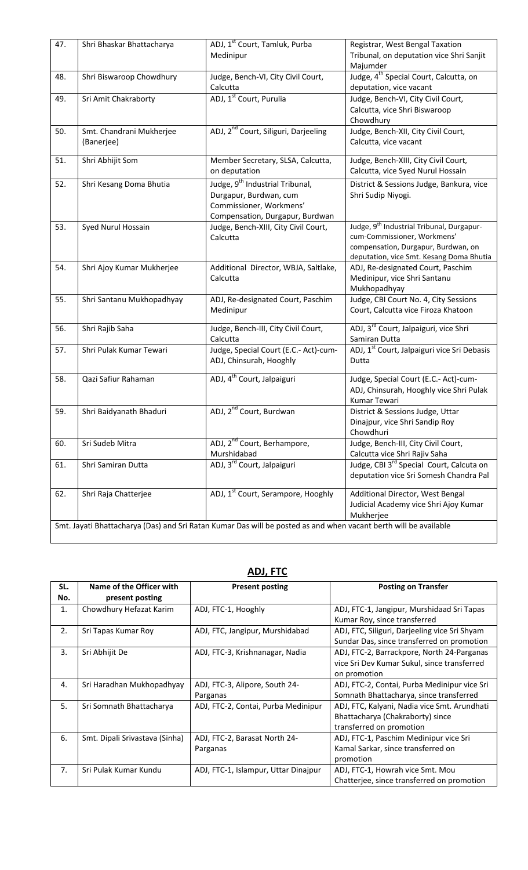| 47. | Shri Bhaskar Bhattacharya                                                                                        | ADJ, 1 <sup>st</sup> Court, Tamluk, Purba<br>Medinipur                                                                              | Registrar, West Bengal Taxation<br>Tribunal, on deputation vice Shri Sanjit<br>Majumder                                                                                 |  |  |
|-----|------------------------------------------------------------------------------------------------------------------|-------------------------------------------------------------------------------------------------------------------------------------|-------------------------------------------------------------------------------------------------------------------------------------------------------------------------|--|--|
| 48. | Shri Biswaroop Chowdhury                                                                                         | Judge, Bench-VI, City Civil Court,<br>Calcutta                                                                                      | Judge, 4 <sup>th</sup> Special Court, Calcutta, on<br>deputation, vice vacant                                                                                           |  |  |
| 49. | Sri Amit Chakraborty                                                                                             | ADJ, 1 <sup>st</sup> Court, Purulia                                                                                                 | Judge, Bench-VI, City Civil Court,<br>Calcutta, vice Shri Biswaroop<br>Chowdhury                                                                                        |  |  |
| 50. | Smt. Chandrani Mukherjee<br>(Banerjee)                                                                           | ADJ, 2 <sup>nd</sup> Court, Siliguri, Darjeeling                                                                                    | Judge, Bench-XII, City Civil Court,<br>Calcutta, vice vacant                                                                                                            |  |  |
| 51. | Shri Abhijit Som                                                                                                 | Member Secretary, SLSA, Calcutta,<br>on deputation                                                                                  | Judge, Bench-XIII, City Civil Court,<br>Calcutta, vice Syed Nurul Hossain                                                                                               |  |  |
| 52. | Shri Kesang Doma Bhutia                                                                                          | Judge, 9 <sup>th</sup> Industrial Tribunal,<br>Durgapur, Burdwan, cum<br>Commissioner, Workmens'<br>Compensation, Durgapur, Burdwan | District & Sessions Judge, Bankura, vice<br>Shri Sudip Niyogi.                                                                                                          |  |  |
| 53. | Syed Nurul Hossain                                                                                               | Judge, Bench-XIII, City Civil Court,<br>Calcutta                                                                                    | Judge, 9 <sup>th</sup> Industrial Tribunal, Durgapur-<br>cum-Commissioner, Workmens'<br>compensation, Durgapur, Burdwan, on<br>deputation, vice Smt. Kesang Doma Bhutia |  |  |
| 54. | Shri Ajoy Kumar Mukherjee                                                                                        | Additional Director, WBJA, Saltlake,<br>Calcutta                                                                                    | ADJ, Re-designated Court, Paschim<br>Medinipur, vice Shri Santanu<br>Mukhopadhyay                                                                                       |  |  |
| 55. | Shri Santanu Mukhopadhyay                                                                                        | ADJ, Re-designated Court, Paschim<br>Medinipur                                                                                      | Judge, CBI Court No. 4, City Sessions<br>Court, Calcutta vice Firoza Khatoon                                                                                            |  |  |
| 56. | Shri Rajib Saha                                                                                                  | Judge, Bench-III, City Civil Court,<br>Calcutta                                                                                     | ADJ, 3 <sup>rd</sup> Court, Jalpaiguri, vice Shri<br>Samiran Dutta                                                                                                      |  |  |
| 57. | Shri Pulak Kumar Tewari                                                                                          | Judge, Special Court (E.C.- Act)-cum-<br>ADJ, Chinsurah, Hooghly                                                                    | ADJ, 1st Court, Jalpaiguri vice Sri Debasis<br>Dutta                                                                                                                    |  |  |
| 58. | Qazi Safiur Rahaman                                                                                              | ADJ, 4 <sup>th</sup> Court, Jalpaiguri                                                                                              | Judge, Special Court (E.C.- Act)-cum-<br>ADJ, Chinsurah, Hooghly vice Shri Pulak<br>Kumar Tewari                                                                        |  |  |
| 59. | Shri Baidyanath Bhaduri                                                                                          | ADJ, 2 <sup>nd</sup> Court, Burdwan                                                                                                 | District & Sessions Judge, Uttar<br>Dinajpur, vice Shri Sandip Roy<br>Chowdhuri                                                                                         |  |  |
| 60. | Sri Sudeb Mitra                                                                                                  | ADJ, 2 <sup>nd</sup> Court, Berhampore,<br>Murshidabad                                                                              | Judge, Bench-III, City Civil Court,<br>Calcutta vice Shri Rajiv Saha                                                                                                    |  |  |
| 61. | Shri Samiran Dutta                                                                                               | ADJ, 3 <sup>rd</sup> Court, Jalpaiguri                                                                                              | Judge, CBI 3 <sup>rd</sup> Special Court, Calcuta on<br>deputation vice Sri Somesh Chandra Pal                                                                          |  |  |
| 62. | Shri Raja Chatterjee                                                                                             | ADJ, 1 <sup>st</sup> Court, Serampore, Hooghly                                                                                      | Additional Director, West Bengal<br>Judicial Academy vice Shri Ajoy Kumar<br>Mukherjee                                                                                  |  |  |
|     | Smt. Jayati Bhattacharya (Das) and Sri Ratan Kumar Das will be posted as and when vacant berth will be available |                                                                                                                                     |                                                                                                                                                                         |  |  |

# **ADJ, FTC**

| SL. | Name of the Officer with       | <b>Present posting</b>               | <b>Posting on Transfer</b>                    |
|-----|--------------------------------|--------------------------------------|-----------------------------------------------|
| No. | present posting                |                                      |                                               |
| 1.  | Chowdhury Hefazat Karim        | ADJ, FTC-1, Hooghly                  | ADJ, FTC-1, Jangipur, Murshidaad Sri Tapas    |
|     |                                |                                      | Kumar Roy, since transferred                  |
| 2.  | Sri Tapas Kumar Roy            | ADJ, FTC, Jangipur, Murshidabad      | ADJ, FTC, Siliguri, Darjeeling vice Sri Shyam |
|     |                                |                                      | Sundar Das, since transferred on promotion    |
| 3.  | Sri Abhijit De                 | ADJ, FTC-3, Krishnanagar, Nadia      | ADJ, FTC-2, Barrackpore, North 24-Parganas    |
|     |                                |                                      | vice Sri Dev Kumar Sukul, since transferred   |
|     |                                |                                      | on promotion                                  |
| 4.  | Sri Haradhan Mukhopadhyay      | ADJ, FTC-3, Alipore, South 24-       | ADJ, FTC-2, Contai, Purba Medinipur vice Sri  |
|     |                                | Parganas                             | Somnath Bhattacharya, since transferred       |
| 5.  | Sri Somnath Bhattacharya       | ADJ, FTC-2, Contai, Purba Medinipur  | ADJ, FTC, Kalyani, Nadia vice Smt. Arundhati  |
|     |                                |                                      | Bhattacharya (Chakraborty) since              |
|     |                                |                                      | transferred on promotion                      |
| 6.  | Smt. Dipali Srivastava (Sinha) | ADJ, FTC-2, Barasat North 24-        | ADJ, FTC-1, Paschim Medinipur vice Sri        |
|     |                                | Parganas                             | Kamal Sarkar, since transferred on            |
|     |                                |                                      | promotion                                     |
| 7.  | Sri Pulak Kumar Kundu          | ADJ, FTC-1, Islampur, Uttar Dinajpur | ADJ, FTC-1, Howrah vice Smt. Mou              |
|     |                                |                                      | Chatterjee, since transferred on promotion    |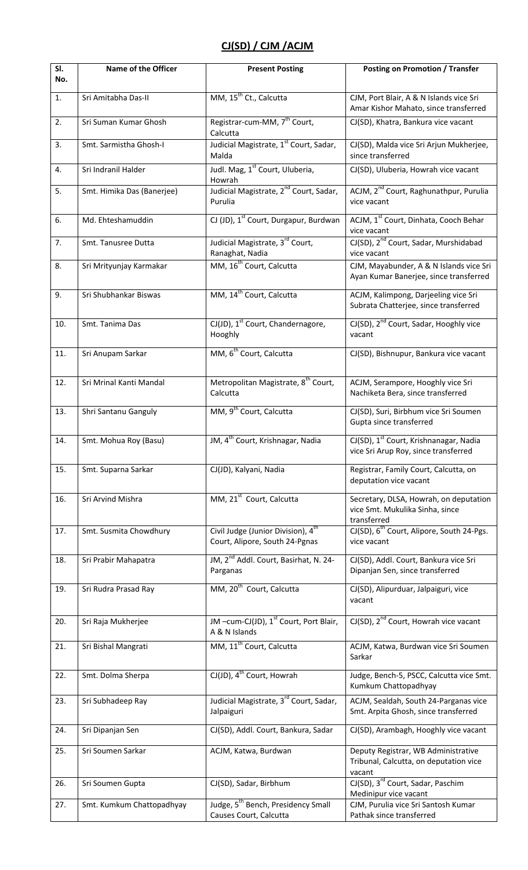# **CJ(SD) / CJM /ACJM**

| SI.<br>No. | Name of the Officer        | <b>Present Posting</b>                                                           | <b>Posting on Promotion / Transfer</b>                                                     |
|------------|----------------------------|----------------------------------------------------------------------------------|--------------------------------------------------------------------------------------------|
| 1.         | Sri Amitabha Das-II        | MM, 15 <sup>th</sup> Ct., Calcutta                                               | CJM, Port Blair, A & N Islands vice Sri<br>Amar Kishor Mahato, since transferred           |
| 2.         | Sri Suman Kumar Ghosh      | Registrar-cum-MM, 7 <sup>th</sup> Court,<br>Calcutta                             | CJ(SD), Khatra, Bankura vice vacant                                                        |
| 3.         | Smt. Sarmistha Ghosh-I     | Judicial Magistrate, 1st Court, Sadar,<br>Malda                                  | CJ(SD), Malda vice Sri Arjun Mukherjee,<br>since transferred                               |
| 4.         | Sri Indranil Halder        | Judl. Mag, 1 <sup>st</sup> Court, Uluberia,<br>Howrah                            | CJ(SD), Uluberia, Howrah vice vacant                                                       |
| 5.         | Smt. Himika Das (Banerjee) | Judicial Magistrate, 2 <sup>nd</sup> Court, Sadar,<br>Purulia                    | ACJM, 2 <sup>nd</sup> Court, Raghunathpur, Purulia<br>vice vacant                          |
| 6.         | Md. Ehteshamuddin          | CJ (JD), 1 <sup>st</sup> Court, Durgapur, Burdwan                                | ACJM, 1st Court, Dinhata, Cooch Behar<br>vice vacant                                       |
| 7.         | Smt. Tanusree Dutta        | Judicial Magistrate, 3rd Court,<br>Ranaghat, Nadia                               | CJ(SD), 2 <sup>nd</sup> Court, Sadar, Murshidabad<br>vice vacant                           |
| 8.         | Sri Mrityunjay Karmakar    | MM, 16 <sup>th</sup> Court, Calcutta                                             | CJM, Mayabunder, A & N Islands vice Sri<br>Ayan Kumar Banerjee, since transferred          |
| 9.         | Sri Shubhankar Biswas      | MM, 14 <sup>th</sup> Court, Calcutta                                             | ACJM, Kalimpong, Darjeeling vice Sri<br>Subrata Chatterjee, since transferred              |
| 10.        | Smt. Tanima Das            | CJ(JD), 1 <sup>st</sup> Court, Chandernagore,<br>Hooghly                         | CJ(SD), 2 <sup>nd</sup> Court, Sadar, Hooghly vice<br>vacant                               |
| 11.        | Sri Anupam Sarkar          | MM, 6 <sup>th</sup> Court, Calcutta                                              | CJ(SD), Bishnupur, Bankura vice vacant                                                     |
| 12.        | Sri Mrinal Kanti Mandal    | Metropolitan Magistrate, 8 <sup>th</sup> Court,<br>Calcutta                      | ACJM, Serampore, Hooghly vice Sri<br>Nachiketa Bera, since transferred                     |
| 13.        | Shri Santanu Ganguly       | MM, 9 <sup>th</sup> Court, Calcutta                                              | CJ(SD), Suri, Birbhum vice Sri Soumen<br>Gupta since transferred                           |
| 14.        | Smt. Mohua Roy (Basu)      | JM, 4 <sup>th</sup> Court, Krishnagar, Nadia                                     | CJ(SD), 1 <sup>st</sup> Court, Krishnanagar, Nadia<br>vice Sri Arup Roy, since transferred |
| 15.        | Smt. Suparna Sarkar        | CJ(JD), Kalyani, Nadia                                                           | Registrar, Family Court, Calcutta, on<br>deputation vice vacant                            |
| 16.        | Sri Arvind Mishra          | MM, 21 <sup>st</sup> Court, Calcutta                                             | Secretary, DLSA, Howrah, on deputation<br>vice Smt. Mukulika Sinha, since<br>transferred   |
| 17.        | Smt. Susmita Chowdhury     | Civil Judge (Junior Division), 4 <sup>th</sup><br>Court, Alipore, South 24-Pgnas | CJ(SD), 6 <sup>th</sup> Court, Alipore, South 24-Pgs.<br>vice vacant                       |
| 18.        | Sri Prabir Mahapatra       | JM, 2 <sup>nd</sup> Addl. Court, Basirhat, N. 24-<br>Parganas                    | CJ(SD), Addl. Court, Bankura vice Sri<br>Dipanjan Sen, since transferred                   |
| 19.        | Sri Rudra Prasad Ray       | MM, 20 <sup>th</sup> Court, Calcutta                                             | CJ(SD), Alipurduar, Jalpaiguri, vice<br>vacant                                             |
| 20.        | Sri Raja Mukherjee         | JM-cum-CJ(JD), 1 <sup>st</sup> Court, Port Blair,<br>A & N Islands               | CJ(SD), 2 <sup>nd</sup> Court, Howrah vice vacant                                          |
| 21.        | Sri Bishal Mangrati        | MM, 11 <sup>th</sup> Court, Calcutta                                             | ACJM, Katwa, Burdwan vice Sri Soumen<br>Sarkar                                             |
| 22.        | Smt. Dolma Sherpa          | CJ(JD), 4 <sup>th</sup> Court, Howrah                                            | Judge, Bench-5, PSCC, Calcutta vice Smt.<br>Kumkum Chattopadhyay                           |
| 23.        | Sri Subhadeep Ray          | Judicial Magistrate, 3 <sup>rd</sup> Court, Sadar,<br>Jalpaiguri                 | ACJM, Sealdah, South 24-Parganas vice<br>Smt. Arpita Ghosh, since transferred              |
| 24.        | Sri Dipanjan Sen           | CJ(SD), Addl. Court, Bankura, Sadar                                              | CJ(SD), Arambagh, Hooghly vice vacant                                                      |
| 25.        | Sri Soumen Sarkar          | ACJM, Katwa, Burdwan                                                             | Deputy Registrar, WB Administrative<br>Tribunal, Calcutta, on deputation vice<br>vacant    |
| 26.        | Sri Soumen Gupta           | CJ(SD), Sadar, Birbhum                                                           | CJ(SD), 3 <sup>rd</sup> Court, Sadar, Paschim<br>Medinipur vice vacant                     |
| 27.        | Smt. Kumkum Chattopadhyay  | Judge, 5 <sup>th</sup> Bench, Presidency Small<br>Causes Court, Calcutta         | CJM, Purulia vice Sri Santosh Kumar<br>Pathak since transferred                            |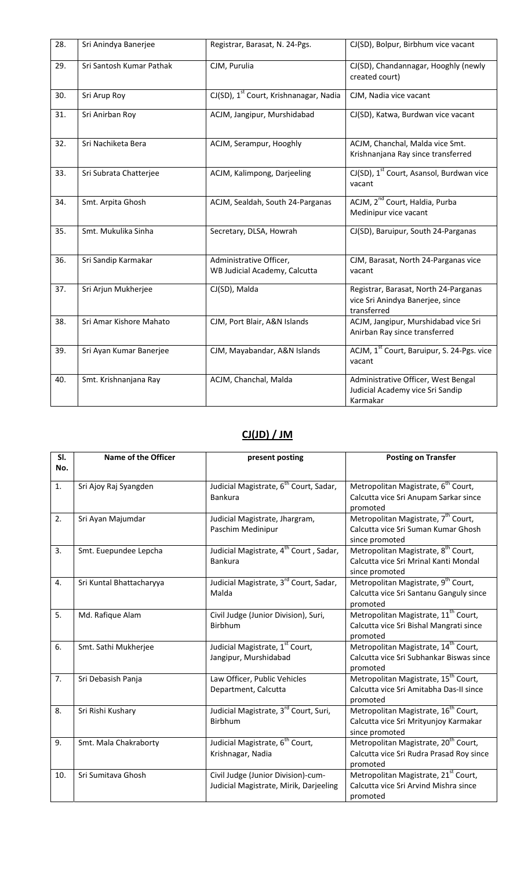| 28. | Sri Anindya Banerjee     | Registrar, Barasat, N. 24-Pgs.                           | CJ(SD), Bolpur, Birbhum vice vacant                                                      |
|-----|--------------------------|----------------------------------------------------------|------------------------------------------------------------------------------------------|
| 29. | Sri Santosh Kumar Pathak | CJM, Purulia                                             | CJ(SD), Chandannagar, Hooghly (newly<br>created court)                                   |
| 30. | Sri Arup Roy             | CJ(SD), 1 <sup>st</sup> Court, Krishnanagar, Nadia       | CJM, Nadia vice vacant                                                                   |
| 31. | Sri Anirban Roy          | ACJM, Jangipur, Murshidabad                              | CJ(SD), Katwa, Burdwan vice vacant                                                       |
| 32. | Sri Nachiketa Bera       | ACJM, Serampur, Hooghly                                  | ACJM, Chanchal, Malda vice Smt.<br>Krishnanjana Ray since transferred                    |
| 33. | Sri Subrata Chatterjee   | ACJM, Kalimpong, Darjeeling                              | CJ(SD), 1 <sup>st</sup> Court, Asansol, Burdwan vice<br>vacant                           |
| 34. | Smt. Arpita Ghosh        | ACJM, Sealdah, South 24-Parganas                         | ACJM, 2 <sup>nd</sup> Court, Haldia, Purba<br>Medinipur vice vacant                      |
| 35. | Smt. Mukulika Sinha      | Secretary, DLSA, Howrah                                  | CJ(SD), Baruipur, South 24-Parganas                                                      |
| 36. | Sri Sandip Karmakar      | Administrative Officer,<br>WB Judicial Academy, Calcutta | CJM, Barasat, North 24-Parganas vice<br>vacant                                           |
| 37. | Sri Arjun Mukherjee      | CJ(SD), Malda                                            | Registrar, Barasat, North 24-Parganas<br>vice Sri Anindya Banerjee, since<br>transferred |
| 38. | Sri Amar Kishore Mahato  | CJM, Port Blair, A&N Islands                             | ACJM, Jangipur, Murshidabad vice Sri<br>Anirban Ray since transferred                    |
| 39. | Sri Ayan Kumar Banerjee  | CJM, Mayabandar, A&N Islands                             | ACJM, 1 <sup>st</sup> Court, Baruipur, S. 24-Pgs. vice<br>vacant                         |
| 40. | Smt. Krishnanjana Ray    | ACJM, Chanchal, Malda                                    | Administrative Officer, West Bengal<br>Judicial Academy vice Sri Sandip<br>Karmakar      |

## **CJ(JD) / JM**

| SI.<br>No. | Name of the Officer      | present posting                                                              | <b>Posting on Transfer</b>                                                                                  |
|------------|--------------------------|------------------------------------------------------------------------------|-------------------------------------------------------------------------------------------------------------|
| 1.         | Sri Ajoy Raj Syangden    | Judicial Magistrate, 6 <sup>th</sup> Court, Sadar,<br><b>Bankura</b>         | Metropolitan Magistrate, 6 <sup>th</sup> Court,<br>Calcutta vice Sri Anupam Sarkar since<br>promoted        |
| 2.         | Sri Ayan Majumdar        | Judicial Magistrate, Jhargram,<br>Paschim Medinipur                          | Metropolitan Magistrate, 7 <sup>th</sup> Court,<br>Calcutta vice Sri Suman Kumar Ghosh<br>since promoted    |
| 3.         | Smt. Euepundee Lepcha    | Judicial Magistrate, 4 <sup>th</sup> Court, Sadar,<br><b>Bankura</b>         | Metropolitan Magistrate, 8 <sup>th</sup> Court,<br>Calcutta vice Sri Mrinal Kanti Mondal<br>since promoted  |
| 4.         | Sri Kuntal Bhattacharyya | Judicial Magistrate, 3 <sup>rd</sup> Court, Sadar,<br>Malda                  | Metropolitan Magistrate, 9 <sup>th</sup> Court,<br>Calcutta vice Sri Santanu Ganguly since<br>promoted      |
| 5.         | Md. Rafique Alam         | Civil Judge (Junior Division), Suri,<br>Birbhum                              | Metropolitan Magistrate, 11 <sup>th</sup> Court,<br>Calcutta vice Sri Bishal Mangrati since<br>promoted     |
| 6.         | Smt. Sathi Mukherjee     | Judicial Magistrate, 1st Court,<br>Jangipur, Murshidabad                     | Metropolitan Magistrate, 14 <sup>th</sup> Court,<br>Calcutta vice Sri Subhankar Biswas since<br>promoted    |
| 7.         | Sri Debasish Panja       | Law Officer, Public Vehicles<br>Department, Calcutta                         | Metropolitan Magistrate, 15 <sup>th</sup> Court,<br>Calcutta vice Sri Amitabha Das-II since<br>promoted     |
| 8.         | Sri Rishi Kushary        | Judicial Magistrate, 3 <sup>rd</sup> Court, Suri,<br>Birbhum                 | Metropolitan Magistrate, 16 <sup>th</sup> Court,<br>Calcutta vice Sri Mrityunjoy Karmakar<br>since promoted |
| 9.         | Smt. Mala Chakraborty    | Judicial Magistrate, 6 <sup>th</sup> Court,<br>Krishnagar, Nadia             | Metropolitan Magistrate, 20 <sup>th</sup> Court,<br>Calcutta vice Sri Rudra Prasad Roy since<br>promoted    |
| 10.        | Sri Sumitava Ghosh       | Civil Judge (Junior Division)-cum-<br>Judicial Magistrate, Mirik, Darjeeling | Metropolitan Magistrate, 21 <sup>st</sup> Court,<br>Calcutta vice Sri Arvind Mishra since<br>promoted       |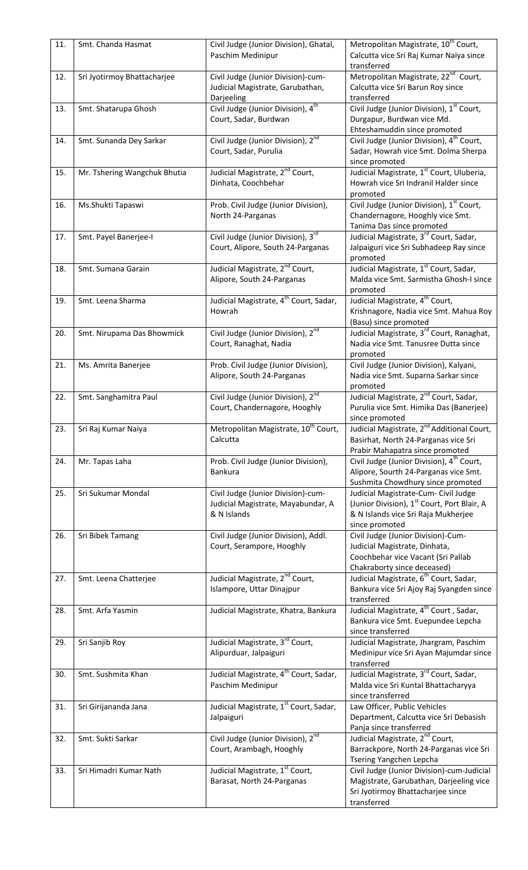| 11. | Smt. Chanda Hasmat           | Civil Judge (Junior Division), Ghatal,                                   | Metropolitan Magistrate, 10 <sup>th</sup> Court,                                               |
|-----|------------------------------|--------------------------------------------------------------------------|------------------------------------------------------------------------------------------------|
|     |                              | Paschim Medinipur                                                        | Calcutta vice Sri Raj Kumar Naiya since<br>transferred                                         |
| 12. | Sri Jyotirmoy Bhattacharjee  | Civil Judge (Junior Division)-cum-                                       | Metropolitan Magistrate, 22 <sup>nd</sup> Court,                                               |
|     |                              | Judicial Magistrate, Garubathan,                                         | Calcutta vice Sri Barun Roy since                                                              |
|     |                              | Darjeeling                                                               | transferred                                                                                    |
| 13. | Smt. Shatarupa Ghosh         | Civil Judge (Junior Division), 4 <sup>th</sup>                           | Civil Judge (Junior Division), 1st Court,                                                      |
|     |                              | Court, Sadar, Burdwan                                                    | Durgapur, Burdwan vice Md.<br>Ehteshamuddin since promoted                                     |
| 14. | Smt. Sunanda Dey Sarkar      | Civil Judge (Junior Division), 2 <sup>nd</sup>                           | Civil Judge (Junior Division), 4 <sup>th</sup> Court,                                          |
|     |                              | Court, Sadar, Purulia                                                    | Sadar, Howrah vice Smt. Dolma Sherpa                                                           |
|     |                              |                                                                          | since promoted                                                                                 |
| 15. | Mr. Tshering Wangchuk Bhutia | Judicial Magistrate, 2 <sup>nd</sup> Court,                              | Judicial Magistrate, 1 <sup>st</sup> Court, Uluberia,                                          |
|     |                              | Dinhata, Coochbehar                                                      | Howrah vice Sri Indranil Halder since<br>promoted                                              |
| 16. | Ms.Shukti Tapaswi            | Prob. Civil Judge (Junior Division),                                     | Civil Judge (Junior Division), 1 <sup>st</sup> Court,                                          |
|     |                              | North 24-Parganas                                                        | Chandernagore, Hooghly vice Smt.                                                               |
|     |                              |                                                                          | Tanima Das since promoted                                                                      |
| 17. | Smt. Payel Banerjee-I        | Civil Judge (Junior Division), 3rd                                       | Judicial Magistrate, 3 <sup>rd</sup> Court, Sadar,                                             |
|     |                              | Court, Alipore, South 24-Parganas                                        | Jalpaiguri vice Sri Subhadeep Ray since                                                        |
| 18. | Smt. Sumana Garain           | Judicial Magistrate, 2 <sup>nd</sup> Court,                              | promoted<br>Judicial Magistrate, 1 <sup>st</sup> Court, Sadar,                                 |
|     |                              | Alipore, South 24-Parganas                                               | Malda vice Smt. Sarmistha Ghosh-I since                                                        |
|     |                              |                                                                          | promoted                                                                                       |
| 19. | Smt. Leena Sharma            | Judicial Magistrate, 4 <sup>th</sup> Court, Sadar,                       | Judicial Magistrate, 4 <sup>th</sup> Court,                                                    |
|     |                              | Howrah                                                                   | Krishnagore, Nadia vice Smt. Mahua Roy                                                         |
| 20. | Smt. Nirupama Das Bhowmick   | Civil Judge (Junior Division), 2 <sup>nd</sup>                           | (Basu) since promoted<br>Judicial Magistrate, 3 <sup>rd</sup> Court, Ranaghat,                 |
|     |                              | Court, Ranaghat, Nadia                                                   | Nadia vice Smt. Tanusree Dutta since                                                           |
|     |                              |                                                                          | promoted                                                                                       |
| 21. | Ms. Amrita Banerjee          | Prob. Civil Judge (Junior Division),                                     | Civil Judge (Junior Division), Kalyani,                                                        |
|     |                              | Alipore, South 24-Parganas                                               | Nadia vice Smt. Suparna Sarkar since                                                           |
|     |                              |                                                                          | promoted                                                                                       |
| 22. | Smt. Sanghamitra Paul        | Civil Judge (Junior Division), $2^{nd}$<br>Court, Chandernagore, Hooghly | Judicial Magistrate, 2 <sup>nd</sup> Court, Sadar,<br>Purulia vice Smt. Himika Das (Banerjee)  |
|     |                              |                                                                          | since promoted                                                                                 |
| 23. | Sri Raj Kumar Naiya          | Metropolitan Magistrate, 10 <sup>th</sup> Court,                         | Judicial Magistrate, 2 <sup>nd</sup> Additional Court,                                         |
|     |                              | Calcutta                                                                 | Basirhat, North 24-Parganas vice Sri                                                           |
|     |                              |                                                                          | Prabir Mahapatra since promoted                                                                |
| 24. | Mr. Tapas Laha               | Prob. Civil Judge (Junior Division),<br>Bankura                          | Civil Judge (Junior Division), 4 <sup>th</sup> Court,<br>Alipore, Sourth 24-Parganas vice Smt. |
|     |                              |                                                                          | Sushmita Chowdhury since promoted                                                              |
| 25. | Sri Sukumar Mondal           | Civil Judge (Junior Division)-cum-                                       | Judicial Magistrate-Cum- Civil Judge                                                           |
|     |                              | Judicial Magistrate, Mayabundar, A                                       | (Junior Division), 1 <sup>st</sup> Court, Port Blair, A                                        |
|     |                              | & N Islands                                                              | & N Islands vice Sri Raja Mukherjee                                                            |
| 26. | Sri Bibek Tamang             | Civil Judge (Junior Division), Addl.                                     | since promoted<br>Civil Judge (Junior Division)-Cum-                                           |
|     |                              | Court, Serampore, Hooghly                                                | Judicial Magistrate, Dinhata,                                                                  |
|     |                              |                                                                          | Coochbehar vice Vacant (Sri Pallab                                                             |
|     |                              |                                                                          | Chakraborty since deceased)                                                                    |
| 27. | Smt. Leena Chatterjee        | Judicial Magistrate, 2 <sup>nd</sup> Court,                              | Judicial Magistrate, 6 <sup>th</sup> Court, Sadar,                                             |
|     |                              | Islampore, Uttar Dinajpur                                                | Bankura vice Sri Ajoy Raj Syangden since<br>transferred                                        |
| 28. | Smt. Arfa Yasmin             | Judicial Magistrate, Khatra, Bankura                                     | Judicial Magistrate, 4 <sup>th</sup> Court, Sadar,                                             |
|     |                              |                                                                          | Bankura vice Smt. Euepundee Lepcha                                                             |
|     |                              |                                                                          | since transferred                                                                              |
| 29. | Sri Sanjib Roy               | Judicial Magistrate, 3 <sup>rd</sup> Court,                              | Judicial Magistrate, Jhargram, Paschim                                                         |
|     |                              | Alipurduar, Jalpaiguri                                                   | Medinipur vice Sri Ayan Majumdar since<br>transferred                                          |
| 30. | Smt. Sushmita Khan           | Judicial Magistrate, 4 <sup>th</sup> Court, Sadar,                       | Judicial Magistrate, 3rd Court, Sadar,                                                         |
|     |                              | Paschim Medinipur                                                        | Malda vice Sri Kuntal Bhattacharyya                                                            |
|     |                              |                                                                          | since transferred                                                                              |
| 31. | Sri Girijananda Jana         | Judicial Magistrate, 1 <sup>st</sup> Court, Sadar,                       | Law Officer, Public Vehicles                                                                   |
|     |                              | Jalpaiguri                                                               | Department, Calcutta vice Sri Debasish                                                         |
| 32. | Smt. Sukti Sarkar            | Civil Judge (Junior Division), 2 <sup>nd</sup>                           | Panja since transferred<br>Judicial Magistrate, 2 <sup>nd</sup> Court,                         |
|     |                              | Court, Arambagh, Hooghly                                                 | Barrackpore, North 24-Parganas vice Sri                                                        |
|     |                              |                                                                          | Tsering Yangchen Lepcha                                                                        |
| 33. | Sri Himadri Kumar Nath       | Judicial Magistrate, 1st Court,                                          | Civil Judge (Junior Division)-cum-Judicial                                                     |
|     |                              | Barasat, North 24-Parganas                                               | Magistrate, Garubathan, Darjeeling vice                                                        |
|     |                              |                                                                          | Sri Jyotirmoy Bhattacharjee since<br>transferred                                               |
|     |                              |                                                                          |                                                                                                |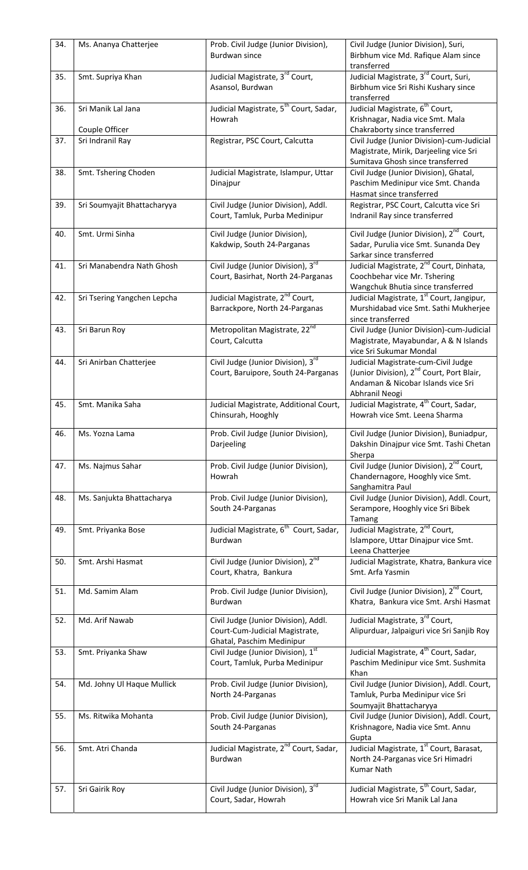| 34. | Ms. Ananya Chatterjee       | Prob. Civil Judge (Junior Division),<br>Burdwan since                  | Civil Judge (Junior Division), Suri,<br>Birbhum vice Md. Rafique Alam since<br>transferred   |
|-----|-----------------------------|------------------------------------------------------------------------|----------------------------------------------------------------------------------------------|
| 35. | Smt. Supriya Khan           | Judicial Magistrate, 3 <sup>rd</sup> Court,                            | Judicial Magistrate, 3 <sup>rd</sup> Court, Suri,                                            |
|     |                             | Asansol, Burdwan                                                       | Birbhum vice Sri Rishi Kushary since                                                         |
|     |                             |                                                                        | transferred                                                                                  |
| 36. | Sri Manik Lal Jana          | Judicial Magistrate, 5 <sup>th</sup> Court, Sadar,                     | Judicial Magistrate, 6 <sup>th</sup> Court,                                                  |
|     | Couple Officer              | Howrah                                                                 | Krishnagar, Nadia vice Smt. Mala<br>Chakraborty since transferred                            |
| 37. | Sri Indranil Ray            | Registrar, PSC Court, Calcutta                                         | Civil Judge (Junior Division)-cum-Judicial                                                   |
|     |                             |                                                                        | Magistrate, Mirik, Darjeeling vice Sri<br>Sumitava Ghosh since transferred                   |
| 38. | Smt. Tshering Choden        | Judicial Magistrate, Islampur, Uttar                                   | Civil Judge (Junior Division), Ghatal,                                                       |
|     |                             | Dinajpur                                                               | Paschim Medinipur vice Smt. Chanda<br>Hasmat since transferred                               |
| 39. | Sri Soumyajit Bhattacharyya | Civil Judge (Junior Division), Addl.<br>Court, Tamluk, Purba Medinipur | Registrar, PSC Court, Calcutta vice Sri<br>Indranil Ray since transferred                    |
| 40. | Smt. Urmi Sinha             | Civil Judge (Junior Division),                                         | Civil Judge (Junior Division), 2 <sup>nd</sup> Court,                                        |
|     |                             | Kakdwip, South 24-Parganas                                             | Sadar, Purulia vice Smt. Sunanda Dey                                                         |
|     |                             |                                                                        | Sarkar since transferred                                                                     |
| 41. | Sri Manabendra Nath Ghosh   | Civil Judge (Junior Division), 3rd                                     | Judicial Magistrate, 2 <sup>nd</sup> Court, Dinhata,                                         |
|     |                             | Court, Basirhat, North 24-Parganas                                     | Coochbehar vice Mr. Tshering<br>Wangchuk Bhutia since transferred                            |
| 42. | Sri Tsering Yangchen Lepcha | Judicial Magistrate, 2 <sup>nd</sup> Court,                            | Judicial Magistrate, 1 <sup>st</sup> Court, Jangipur,                                        |
|     |                             | Barrackpore, North 24-Parganas                                         | Murshidabad vice Smt. Sathi Mukherjee                                                        |
|     |                             |                                                                        | since transferred                                                                            |
| 43. | Sri Barun Roy               | Metropolitan Magistrate, 22 <sup>nd</sup>                              | Civil Judge (Junior Division)-cum-Judicial                                                   |
|     |                             | Court, Calcutta                                                        | Magistrate, Mayabundar, A & N Islands                                                        |
|     |                             |                                                                        | vice Sri Sukumar Mondal                                                                      |
| 44. | Sri Anirban Chatterjee      | Civil Judge (Junior Division), 3rd                                     | Judicial Magistrate-cum-Civil Judge<br>(Junior Division), 2 <sup>nd</sup> Court, Port Blair, |
|     |                             | Court, Baruipore, South 24-Parganas                                    | Andaman & Nicobar Islands vice Sri                                                           |
|     |                             |                                                                        | Abhranil Neogi                                                                               |
| 45. | Smt. Manika Saha            | Judicial Magistrate, Additional Court,                                 | Judicial Magistrate, 4 <sup>th</sup> Court, Sadar,                                           |
|     |                             | Chinsurah, Hooghly                                                     | Howrah vice Smt. Leena Sharma                                                                |
| 46. | Ms. Yozna Lama              | Prob. Civil Judge (Junior Division),                                   | Civil Judge (Junior Division), Buniadpur,                                                    |
|     |                             |                                                                        |                                                                                              |
|     |                             | Darjeeling                                                             | Dakshin Dinajpur vice Smt. Tashi Chetan<br>Sherpa                                            |
| 47. | Ms. Najmus Sahar            | Prob. Civil Judge (Junior Division),                                   | Civil Judge (Junior Division), 2 <sup>nd</sup> Court,                                        |
|     |                             | Howrah                                                                 | Chandernagore, Hooghly vice Smt.<br>Sanghamitra Paul                                         |
| 48. | Ms. Sanjukta Bhattacharya   | Prob. Civil Judge (Junior Division),                                   | Civil Judge (Junior Division), Addl. Court,                                                  |
|     |                             | South 24-Parganas                                                      | Serampore, Hooghly vice Sri Bibek                                                            |
|     |                             |                                                                        | Tamang                                                                                       |
| 49. | Smt. Priyanka Bose          | Judicial Magistrate, 6 <sup>th</sup> Court, Sadar,<br>Burdwan          | Judicial Magistrate, 2 <sup>nd</sup> Court,<br>Islampore, Uttar Dinajpur vice Smt.           |
|     |                             |                                                                        | Leena Chatterjee                                                                             |
| 50. | Smt. Arshi Hasmat           | Civil Judge (Junior Division), 2 <sup>nd</sup>                         | Judicial Magistrate, Khatra, Bankura vice                                                    |
|     |                             | Court, Khatra, Bankura                                                 | Smt. Arfa Yasmin                                                                             |
| 51. | Md. Samim Alam              | Prob. Civil Judge (Junior Division),                                   | Civil Judge (Junior Division), 2 <sup>nd</sup> Court,                                        |
|     |                             | Burdwan                                                                | Khatra, Bankura vice Smt. Arshi Hasmat                                                       |
| 52. | Md. Arif Nawab              |                                                                        |                                                                                              |
|     |                             | Civil Judge (Junior Division), Addl.<br>Court-Cum-Judicial Magistrate, | Judicial Magistrate, 3 <sup>rd</sup> Court,<br>Alipurduar, Jalpaiguri vice Sri Sanjib Roy    |
|     |                             | Ghatal, Paschim Medinipur                                              |                                                                                              |
| 53. | Smt. Priyanka Shaw          | Civil Judge (Junior Division), 1st                                     | Judicial Magistrate, 4 <sup>th</sup> Court, Sadar,                                           |
|     |                             | Court, Tamluk, Purba Medinipur                                         | Paschim Medinipur vice Smt. Sushmita                                                         |
|     |                             |                                                                        | Khan                                                                                         |
| 54. | Md. Johny Ul Haque Mullick  | Prob. Civil Judge (Junior Division),                                   | Civil Judge (Junior Division), Addl. Court,                                                  |
|     |                             | North 24-Parganas                                                      | Tamluk, Purba Medinipur vice Sri<br>Soumyajit Bhattacharyya                                  |
| 55. | Ms. Ritwika Mohanta         | Prob. Civil Judge (Junior Division),                                   | Civil Judge (Junior Division), Addl. Court,                                                  |
|     |                             | South 24-Parganas                                                      | Krishnagore, Nadia vice Smt. Annu                                                            |
|     |                             |                                                                        | Gupta                                                                                        |
| 56. | Smt. Atri Chanda            | Judicial Magistrate, 2 <sup>nd</sup> Court, Sadar,                     | Judicial Magistrate, 1 <sup>st</sup> Court, Barasat,                                         |
|     |                             | Burdwan                                                                | North 24-Parganas vice Sri Himadri                                                           |
|     |                             |                                                                        | <b>Kumar Nath</b>                                                                            |
| 57. | Sri Gairik Roy              | Civil Judge (Junior Division), 3rd                                     | Judicial Magistrate, 5 <sup>th</sup> Court, Sadar,                                           |
|     |                             | Court, Sadar, Howrah                                                   | Howrah vice Sri Manik Lal Jana                                                               |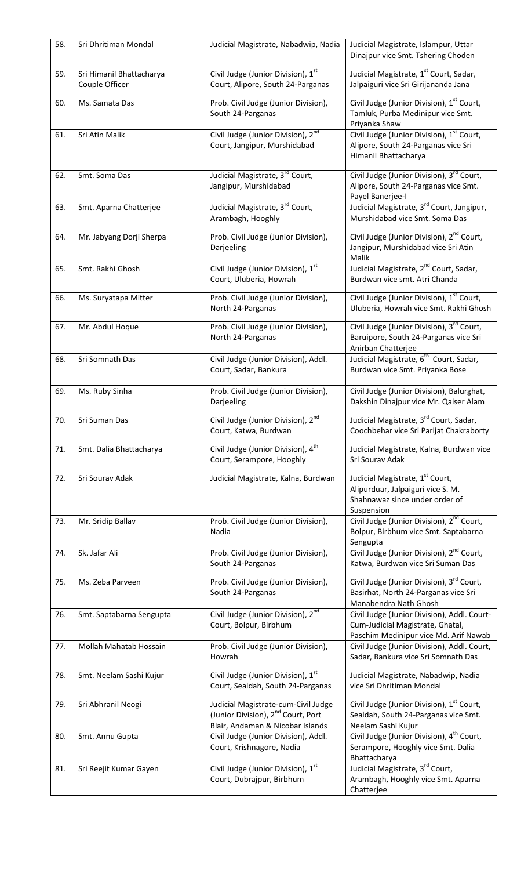| 58. | Sri Dhritiman Mondal                       | Judicial Magistrate, Nabadwip, Nadia                                                                                      | Judicial Magistrate, Islampur, Uttar                                                                                     |
|-----|--------------------------------------------|---------------------------------------------------------------------------------------------------------------------------|--------------------------------------------------------------------------------------------------------------------------|
|     |                                            |                                                                                                                           | Dinajpur vice Smt. Tshering Choden                                                                                       |
| 59. | Sri Himanil Bhattacharya<br>Couple Officer | Civil Judge (Junior Division), 1st<br>Court, Alipore, South 24-Parganas                                                   | Judicial Magistrate, 1 <sup>st</sup> Court, Sadar,<br>Jalpaiguri vice Sri Girijananda Jana                               |
| 60. | Ms. Samata Das                             | Prob. Civil Judge (Junior Division),<br>South 24-Parganas                                                                 | Civil Judge (Junior Division), 1 <sup>st</sup> Court,<br>Tamluk, Purba Medinipur vice Smt.<br>Priyanka Shaw              |
| 61. | Sri Atin Malik                             | Civil Judge (Junior Division), 2 <sup>nd</sup><br>Court, Jangipur, Murshidabad                                            | Civil Judge (Junior Division), 1st Court,<br>Alipore, South 24-Parganas vice Sri<br>Himanil Bhattacharya                 |
| 62. | Smt. Soma Das                              | Judicial Magistrate, 3rd Court,<br>Jangipur, Murshidabad                                                                  | Civil Judge (Junior Division), 3rd Court,<br>Alipore, South 24-Parganas vice Smt.<br>Payel Banerjee-I                    |
| 63. | Smt. Aparna Chatterjee                     | Judicial Magistrate, 3 <sup>rd</sup> Court,<br>Arambagh, Hooghly                                                          | Judicial Magistrate, 3 <sup>rd</sup> Court, Jangipur,<br>Murshidabad vice Smt. Soma Das                                  |
| 64. | Mr. Jabyang Dorji Sherpa                   | Prob. Civil Judge (Junior Division),<br>Darjeeling                                                                        | Civil Judge (Junior Division), 2 <sup>nd</sup> Court,<br>Jangipur, Murshidabad vice Sri Atin<br>Malik                    |
| 65. | Smt. Rakhi Ghosh                           | Civil Judge (Junior Division), 1st<br>Court, Uluberia, Howrah                                                             | Judicial Magistrate, 2 <sup>nd</sup> Court, Sadar,<br>Burdwan vice smt. Atri Chanda                                      |
| 66. | Ms. Suryatapa Mitter                       | Prob. Civil Judge (Junior Division),<br>North 24-Parganas                                                                 | Civil Judge (Junior Division), 1 <sup>st</sup> Court,<br>Uluberia, Howrah vice Smt. Rakhi Ghosh                          |
| 67. | Mr. Abdul Hoque                            | Prob. Civil Judge (Junior Division),<br>North 24-Parganas                                                                 | Civil Judge (Junior Division), 3rd Court,<br>Baruipore, South 24-Parganas vice Sri<br>Anirban Chatterjee                 |
| 68. | Sri Somnath Das                            | Civil Judge (Junior Division), Addl.<br>Court, Sadar, Bankura                                                             | Judicial Magistrate, 6 <sup>th</sup> Court, Sadar,<br>Burdwan vice Smt. Priyanka Bose                                    |
| 69. | Ms. Ruby Sinha                             | Prob. Civil Judge (Junior Division),<br>Darjeeling                                                                        | Civil Judge (Junior Division), Balurghat,<br>Dakshin Dinajpur vice Mr. Qaiser Alam                                       |
| 70. | Sri Suman Das                              | Civil Judge (Junior Division), 2 <sup>nd</sup><br>Court, Katwa, Burdwan                                                   | Judicial Magistrate, 3rd Court, Sadar,<br>Coochbehar vice Sri Parijat Chakraborty                                        |
| 71. | Smt. Dalia Bhattacharya                    | Civil Judge (Junior Division), 4 <sup>th</sup><br>Court, Serampore, Hooghly                                               | Judicial Magistrate, Kalna, Burdwan vice<br>Sri Sourav Adak                                                              |
| 72. | Sri Sourav Adak                            | Judicial Magistrate, Kalna, Burdwan                                                                                       | Judicial Magistrate, 1st Court,<br>Alipurduar, Jalpaiguri vice S. M.<br>Shahnawaz since under order of<br>Suspension     |
| 73. | Mr. Sridip Ballav                          | Prob. Civil Judge (Junior Division),<br>Nadia                                                                             | Civil Judge (Junior Division), 2 <sup>nd</sup> Court,<br>Bolpur, Birbhum vice Smt. Saptabarna<br>Sengupta                |
| 74. | Sk. Jafar Ali                              | Prob. Civil Judge (Junior Division),<br>South 24-Parganas                                                                 | Civil Judge (Junior Division), 2 <sup>nd</sup> Court,<br>Katwa, Burdwan vice Sri Suman Das                               |
| 75. | Ms. Zeba Parveen                           | Prob. Civil Judge (Junior Division),<br>South 24-Parganas                                                                 | Civil Judge (Junior Division), 3rd Court,<br>Basirhat, North 24-Parganas vice Sri<br>Manabendra Nath Ghosh               |
| 76. | Smt. Saptabarna Sengupta                   | Civil Judge (Junior Division), 2 <sup>nd</sup><br>Court, Bolpur, Birbhum                                                  | Civil Judge (Junior Division), Addl. Court-<br>Cum-Judicial Magistrate, Ghatal,<br>Paschim Medinipur vice Md. Arif Nawab |
| 77. | Mollah Mahatab Hossain                     | Prob. Civil Judge (Junior Division),<br>Howrah                                                                            | Civil Judge (Junior Division), Addl. Court,<br>Sadar, Bankura vice Sri Somnath Das                                       |
| 78. | Smt. Neelam Sashi Kujur                    | Civil Judge (Junior Division), 1 <sup>st</sup><br>Court, Sealdah, South 24-Parganas                                       | Judicial Magistrate, Nabadwip, Nadia<br>vice Sri Dhritiman Mondal                                                        |
| 79. | Sri Abhranil Neogi                         | Judicial Magistrate-cum-Civil Judge<br>(Junior Division), 2 <sup>nd</sup> Court, Port<br>Blair, Andaman & Nicobar Islands | Civil Judge (Junior Division), $1st$ Court,<br>Sealdah, South 24-Parganas vice Smt.<br>Neelam Sashi Kujur                |
| 80. | Smt. Annu Gupta                            | Civil Judge (Junior Division), Addl.<br>Court, Krishnagore, Nadia                                                         | Civil Judge (Junior Division), 4 <sup>th</sup> Court,<br>Serampore, Hooghly vice Smt. Dalia<br>Bhattacharya              |
| 81. | Sri Reejit Kumar Gayen                     | Civil Judge (Junior Division), 1 <sup>st</sup><br>Court, Dubrajpur, Birbhum                                               | Judicial Magistrate, 3 <sup>rd</sup> Court,<br>Arambagh, Hooghly vice Smt. Aparna<br>Chatterjee                          |